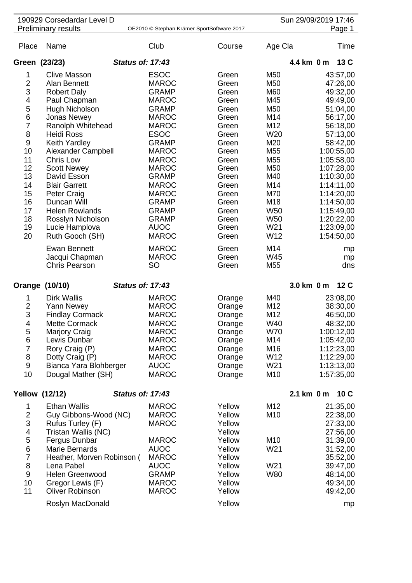|                                                                                                                                                      | 190929 Corsedardar Level D<br><b>Preliminary results</b><br>OE2010 © Stephan Krämer SportSoftware 2017                                                                                                                                                                                                                                                                                                                                                                | Sun 29/09/2019 17:46<br>Page 1                                                                                                                                                                                                                                                                                                                                         |                                                                                                                                                                                                             |                                                                                                                                                                                                                                                               |                                                                                                                                                                                                                                                                                       |
|------------------------------------------------------------------------------------------------------------------------------------------------------|-----------------------------------------------------------------------------------------------------------------------------------------------------------------------------------------------------------------------------------------------------------------------------------------------------------------------------------------------------------------------------------------------------------------------------------------------------------------------|------------------------------------------------------------------------------------------------------------------------------------------------------------------------------------------------------------------------------------------------------------------------------------------------------------------------------------------------------------------------|-------------------------------------------------------------------------------------------------------------------------------------------------------------------------------------------------------------|---------------------------------------------------------------------------------------------------------------------------------------------------------------------------------------------------------------------------------------------------------------|---------------------------------------------------------------------------------------------------------------------------------------------------------------------------------------------------------------------------------------------------------------------------------------|
| Place                                                                                                                                                | Name                                                                                                                                                                                                                                                                                                                                                                                                                                                                  | Club                                                                                                                                                                                                                                                                                                                                                                   | Course                                                                                                                                                                                                      | Age Cla                                                                                                                                                                                                                                                       | Time                                                                                                                                                                                                                                                                                  |
| Green (23/23)                                                                                                                                        |                                                                                                                                                                                                                                                                                                                                                                                                                                                                       | <b>Status of: 17:43</b>                                                                                                                                                                                                                                                                                                                                                |                                                                                                                                                                                                             |                                                                                                                                                                                                                                                               | 4.4 km 0 m<br>13 C                                                                                                                                                                                                                                                                    |
| 1<br>$\overline{2}$<br>3<br>4<br>5<br>6<br>$\overline{7}$<br>8<br>$\boldsymbol{9}$<br>10<br>11<br>12<br>13<br>14<br>15<br>16<br>17<br>18<br>19<br>20 | <b>Clive Masson</b><br>Alan Bennett<br><b>Robert Daly</b><br>Paul Chapman<br>Hugh Nicholson<br><b>Jonas Newey</b><br>Ranolph Whitehead<br><b>Heidi Ross</b><br>Keith Yardley<br>Alexander Campbell<br>Chris Low<br><b>Scott Newey</b><br>David Esson<br><b>Blair Garrett</b><br><b>Peter Craig</b><br>Duncan Will<br><b>Helen Rowlands</b><br>Rosslyn Nicholson<br>Lucie Hamplova<br>Ruth Gooch (SH)<br><b>Ewan Bennett</b><br>Jacqui Chapman<br><b>Chris Pearson</b> | <b>ESOC</b><br><b>MAROC</b><br><b>GRAMP</b><br><b>MAROC</b><br><b>GRAMP</b><br><b>MAROC</b><br><b>MAROC</b><br><b>ESOC</b><br><b>GRAMP</b><br><b>MAROC</b><br><b>MAROC</b><br><b>MAROC</b><br><b>GRAMP</b><br><b>MAROC</b><br><b>MAROC</b><br><b>GRAMP</b><br><b>GRAMP</b><br><b>GRAMP</b><br><b>AUOC</b><br><b>MAROC</b><br><b>MAROC</b><br><b>MAROC</b><br><b>SO</b> | Green<br>Green<br>Green<br>Green<br>Green<br>Green<br>Green<br>Green<br>Green<br>Green<br>Green<br>Green<br>Green<br>Green<br>Green<br>Green<br>Green<br>Green<br>Green<br>Green<br>Green<br>Green<br>Green | M <sub>50</sub><br>M <sub>50</sub><br>M60<br>M45<br>M50<br>M14<br>M12<br>W <sub>20</sub><br>M20<br>M <sub>55</sub><br>M <sub>55</sub><br>M50<br>M40<br>M14<br>M70<br>M18<br>W <sub>50</sub><br>W <sub>50</sub><br>W21<br>W12<br>M14<br>W45<br>M <sub>55</sub> | 43:57,00<br>47:26,00<br>49:32,00<br>49:49,00<br>51:04,00<br>56:17,00<br>56:18,00<br>57:13,00<br>58:42,00<br>1:00:55,00<br>1:05:58,00<br>1:07:28,00<br>1:10:30,00<br>1:14:11,00<br>1:14:20,00<br>1:14:50,00<br>1:15:49,00<br>1:20:22,00<br>1:23:09,00<br>1:54:50,00<br>mp<br>mp<br>dns |
|                                                                                                                                                      | Orange (10/10)                                                                                                                                                                                                                                                                                                                                                                                                                                                        | <b>Status of: 17:43</b>                                                                                                                                                                                                                                                                                                                                                |                                                                                                                                                                                                             |                                                                                                                                                                                                                                                               | 3.0 km 0 m<br>12 C                                                                                                                                                                                                                                                                    |
| 1<br>$\overline{2}$<br>3<br>4<br>5<br>6<br>$\overline{7}$<br>8<br>9<br>10                                                                            | <b>Dirk Wallis</b><br>Yann Newey<br><b>Findlay Cormack</b><br><b>Mette Cormack</b><br>Marjory Craig<br>Lewis Dunbar<br>Rory Craig (P)<br>Dotty Craig (P)<br>Bianca Yara Blohberger<br>Dougal Mather (SH)                                                                                                                                                                                                                                                              | <b>MAROC</b><br><b>MAROC</b><br><b>MAROC</b><br><b>MAROC</b><br><b>MAROC</b><br><b>MAROC</b><br><b>MAROC</b><br><b>MAROC</b><br><b>AUOC</b><br><b>MAROC</b>                                                                                                                                                                                                            | Orange<br>Orange<br>Orange<br>Orange<br>Orange<br>Orange<br>Orange<br>Orange<br>Orange<br>Orange                                                                                                            | M40<br>M12<br>M12<br>W40<br><b>W70</b><br>M14<br>M16<br>W12<br>W21<br>M10                                                                                                                                                                                     | 23:08,00<br>38:30,00<br>46:50,00<br>48:32,00<br>1:00:12,00<br>1:05:42,00<br>1:12:23,00<br>1:12:29,00<br>1:13:13,00<br>1:57:35,00                                                                                                                                                      |
| <b>Yellow (12/12)</b>                                                                                                                                |                                                                                                                                                                                                                                                                                                                                                                                                                                                                       | <b>Status of: 17:43</b>                                                                                                                                                                                                                                                                                                                                                |                                                                                                                                                                                                             |                                                                                                                                                                                                                                                               | 2.1 km 0 m<br>10C                                                                                                                                                                                                                                                                     |
| 1<br>$\overline{2}$<br>3<br>4<br>5<br>$\,6$<br>$\overline{7}$<br>8<br>$\boldsymbol{9}$<br>10<br>11                                                   | <b>Ethan Wallis</b><br>Guy Gibbons-Wood (NC)<br>Rufus Turley (F)<br>Tristan Wallis (NC)<br>Fergus Dunbar<br>Marie Bernards<br>Heather, Morven Robinson (<br>Lena Pabel<br>Helen Greenwood<br>Gregor Lewis (F)<br><b>Oliver Robinson</b><br>Roslyn MacDonald                                                                                                                                                                                                           | <b>MAROC</b><br><b>MAROC</b><br><b>MAROC</b><br><b>MAROC</b><br><b>AUOC</b><br><b>MAROC</b><br><b>AUOC</b><br><b>GRAMP</b><br><b>MAROC</b><br><b>MAROC</b>                                                                                                                                                                                                             | Yellow<br>Yellow<br>Yellow<br>Yellow<br>Yellow<br>Yellow<br>Yellow<br>Yellow<br>Yellow<br>Yellow<br>Yellow<br>Yellow                                                                                        | M12<br>M10<br>M10<br>W21<br>W21<br><b>W80</b>                                                                                                                                                                                                                 | 21:35,00<br>22:38,00<br>27:33,00<br>27:56,00<br>31:39,00<br>31:52,00<br>35:52,00<br>39:47,00<br>48:14,00<br>49:34,00<br>49:42,00<br>mp                                                                                                                                                |